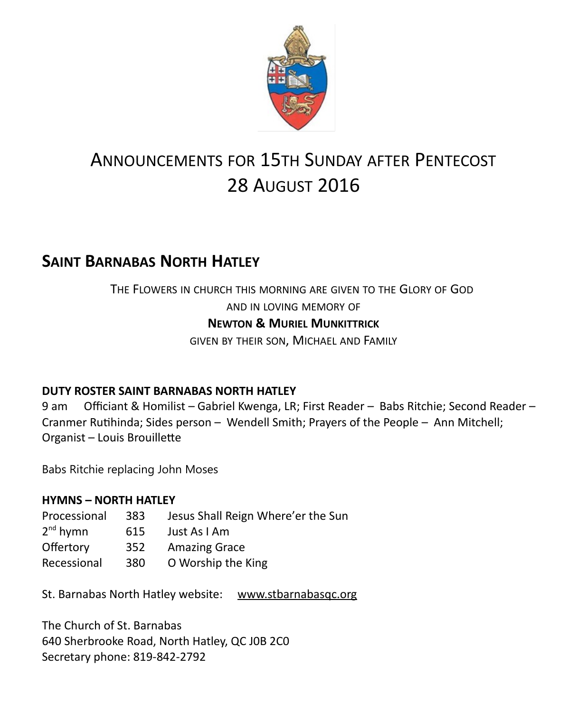

# ANNOUNCEMENTS FOR 15TH SUNDAY AFTER PENTECOST 28 AUGUST 2016

### **SAINT BARNABAS NORTH HATLEY**

### THE FLOWERS IN CHURCH THIS MORNING ARE GIVEN TO THE GLORY OF GOD AND IN LOVING MEMORY OF **NEWTON & MURIEL MUNKITTRICK**

GIVEN BY THEIR SON, MICHAEL AND FAMILY

### **DUTY ROSTER SAINT BARNABAS NORTH HATLEY**

9 am Officiant & Homilist – Gabriel Kwenga, LR; First Reader – Babs Ritchie; Second Reader – Cranmer Rutihinda; Sides person – Wendell Smith; Prayers of the People – Ann Mitchell; Organist – Louis Brouillette

Babs Ritchie replacing John Moses

#### **HYMNS – NORTH HATLEY**

| 383 | Jesus Shall Reign Where'er the Sun |
|-----|------------------------------------|
| 615 | Just As I Am                       |
| 352 | <b>Amazing Grace</b>               |
| 380 | O Worship the King                 |
|     |                                    |

St. Barnabas North Hatley website: [www.stbarnabasqc.org](https://webmail.ubishops.ca/owa/redir.aspx?REF=0vV84iQWktbgou41-Q7x-hpuWc0un25Lg32_cT3pE_mXa77B8czTCAFodHRwOi8vd3d3LnN0YmFybmFiYXNxYy5vcmc.)

The Church of St. Barnabas 640 Sherbrooke Road, North Hatley, QC J0B 2C0 Secretary phone: 819-842-2792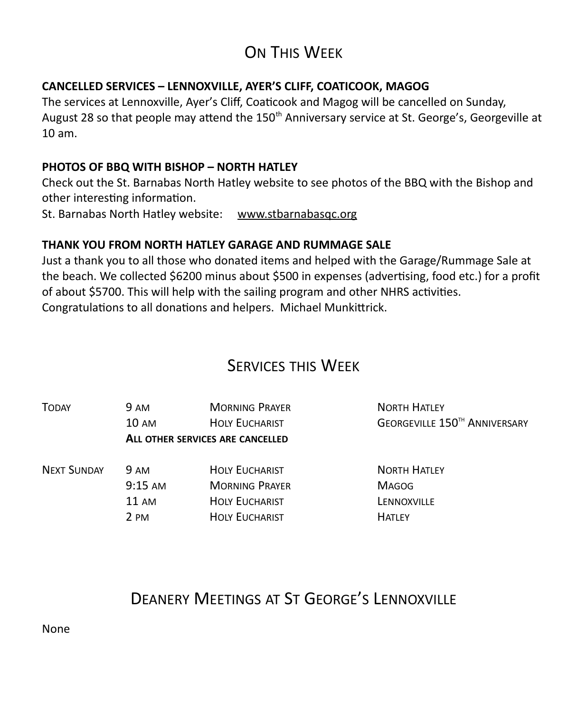## ON THIS WFFK

### **CANCELLED SERVICES – LENNOXVILLE, AYER'S CLIFF, COATICOOK, MAGOG**

The services at Lennoxville, Ayer's Cliff, Coaticook and Magog will be cancelled on Sunday, August 28 so that people may attend the 150<sup>th</sup> Anniversary service at St. George's, Georgeville at 10 am.

### **PHOTOS OF BBQ WITH BISHOP – NORTH HATLEY**

Check out the St. Barnabas North Hatley website to see photos of the BBQ with the Bishop and other interesting information.

St. Barnabas North Hatley website: [www.stbarnabasqc.org](https://webmail.ubishops.ca/owa/redir.aspx?REF=0vV84iQWktbgou41-Q7x-hpuWc0un25Lg32_cT3pE_mXa77B8czTCAFodHRwOi8vd3d3LnN0YmFybmFiYXNxYy5vcmc.)

### **THANK YOU FROM NORTH HATLEY GARAGE AND RUMMAGE SALE**

Just a thank you to all those who donated items and helped with the Garage/Rummage Sale at the beach. We collected \$6200 minus about \$500 in expenses (advertising, food etc.) for a profit of about \$5700. This will help with the sailing program and other NHRS activities. Congratulations to all donations and helpers. Michael Munkittrick.

### SERVICES THIS WEEK

| <b>TODAY</b>       | <b>9 AM</b>                      | <b>MORNING PRAYER</b> | <b>NORTH HATLEY</b>           |  |
|--------------------|----------------------------------|-----------------------|-------------------------------|--|
|                    | 10 AM                            | <b>HOLY EUCHARIST</b> | GEORGEVILLE 150TH ANNIVERSARY |  |
|                    | ALL OTHER SERVICES ARE CANCELLED |                       |                               |  |
| <b>NEXT SUNDAY</b> | 9 AM                             | <b>HOLY EUCHARIST</b> | <b>NORTH HATLEY</b>           |  |
|                    | $9:15 \text{ AM}$                | <b>MORNING PRAYER</b> | <b>MAGOG</b>                  |  |
|                    | 11 AM                            | <b>HOLY EUCHARIST</b> | LENNOXVILLE                   |  |
|                    | 2 PM                             | <b>HOLY EUCHARIST</b> | <b>HATLEY</b>                 |  |
|                    |                                  |                       |                               |  |

# DEANERY MEETINGS AT ST GEORGE'S LENNOXVILLE

None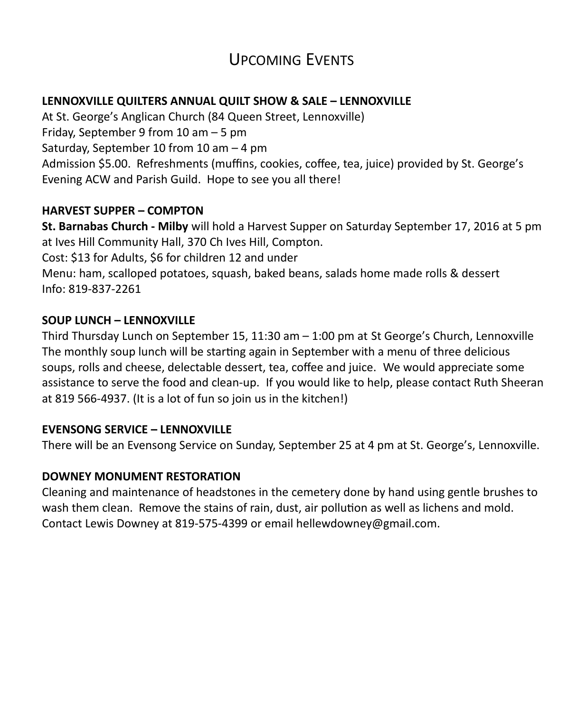### UPCOMING EVENTS

#### **LENNOXVILLE QUILTERS ANNUAL QUILT SHOW & SALE – LENNOXVILLE**

At St. George's Anglican Church (84 Queen Street, Lennoxville) Friday, September 9 from 10 am – 5 pm Saturday, September 10 from 10 am – 4 pm Admission \$5.00. Refreshments (muffins, cookies, coffee, tea, juice) provided by St. George's Evening ACW and Parish Guild. Hope to see you all there!

#### **HARVEST SUPPER – COMPTON**

**St. Barnabas Church - Milby** will hold a Harvest Supper on Saturday September 17, 2016 at 5 pm at Ives Hill Community Hall, 370 Ch Ives Hill, Compton. Cost: \$13 for Adults, \$6 for children 12 and under Menu: ham, scalloped potatoes, squash, baked beans, salads home made rolls & dessert Info: 819-837-2261

#### **SOUP LUNCH – LENNOXVILLE**

Third Thursday Lunch on September 15, 11:30 am – 1:00 pm at St George's Church, Lennoxville The monthly soup lunch will be starting again in September with a menu of three delicious soups, rolls and cheese, delectable dessert, tea, coffee and juice. We would appreciate some assistance to serve the food and clean-up. If you would like to help, please contact Ruth Sheeran at 819 566-4937. (It is a lot of fun so join us in the kitchen!)

#### **EVENSONG SERVICE – LENNOXVILLE**

There will be an Evensong Service on Sunday, September 25 at 4 pm at St. George's, Lennoxville.

#### **DOWNEY MONUMENT RESTORATION**

Cleaning and maintenance of headstones in the cemetery done by hand using gentle brushes to wash them clean. Remove the stains of rain, dust, air pollution as well as lichens and mold. Contact Lewis Downey at 819-575-4399 or email hellewdowney@gmail.com.